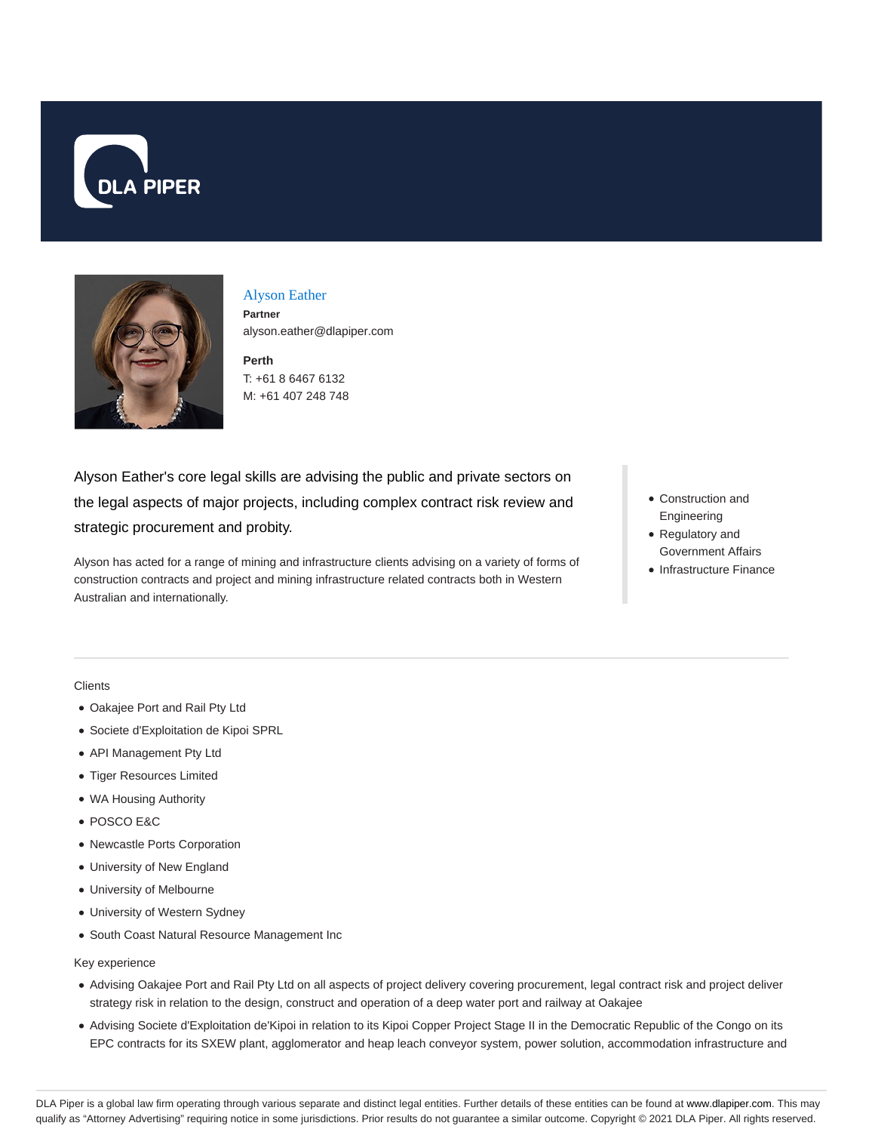



Alyson Eather

**Partner** alyson.eather@dlapiper.com

**Perth** T: +61 8 6467 6132 M: +61 407 248 748

Alyson Eather's core legal skills are advising the public and private sectors on the legal aspects of major projects, including complex contract risk review and strategic procurement and probity.

Alyson has acted for a range of mining and infrastructure clients advising on a variety of forms of construction contracts and project and mining infrastructure related contracts both in Western Australian and internationally.

- Construction and Engineering
- Regulatory and Government Affairs
- Infrastructure Finance

**Clients** 

- Oakajee Port and Rail Pty Ltd
- Societe d'Exploitation de Kipoi SPRL
- API Management Pty Ltd
- Tiger Resources Limited
- WA Housing Authority
- POSCO E&C
- Newcastle Ports Corporation
- University of New England
- University of Melbourne
- University of Western Sydney
- South Coast Natural Resource Management Inc

Key experience

- Advising Oakajee Port and Rail Pty Ltd on all aspects of project delivery covering procurement, legal contract risk and project deliver strategy risk in relation to the design, construct and operation of a deep water port and railway at Oakajee
- Advising Societe d'Exploitation de'Kipoi in relation to its Kipoi Copper Project Stage II in the Democratic Republic of the Congo on its EPC contracts for its SXEW plant, agglomerator and heap leach conveyor system, power solution, accommodation infrastructure and